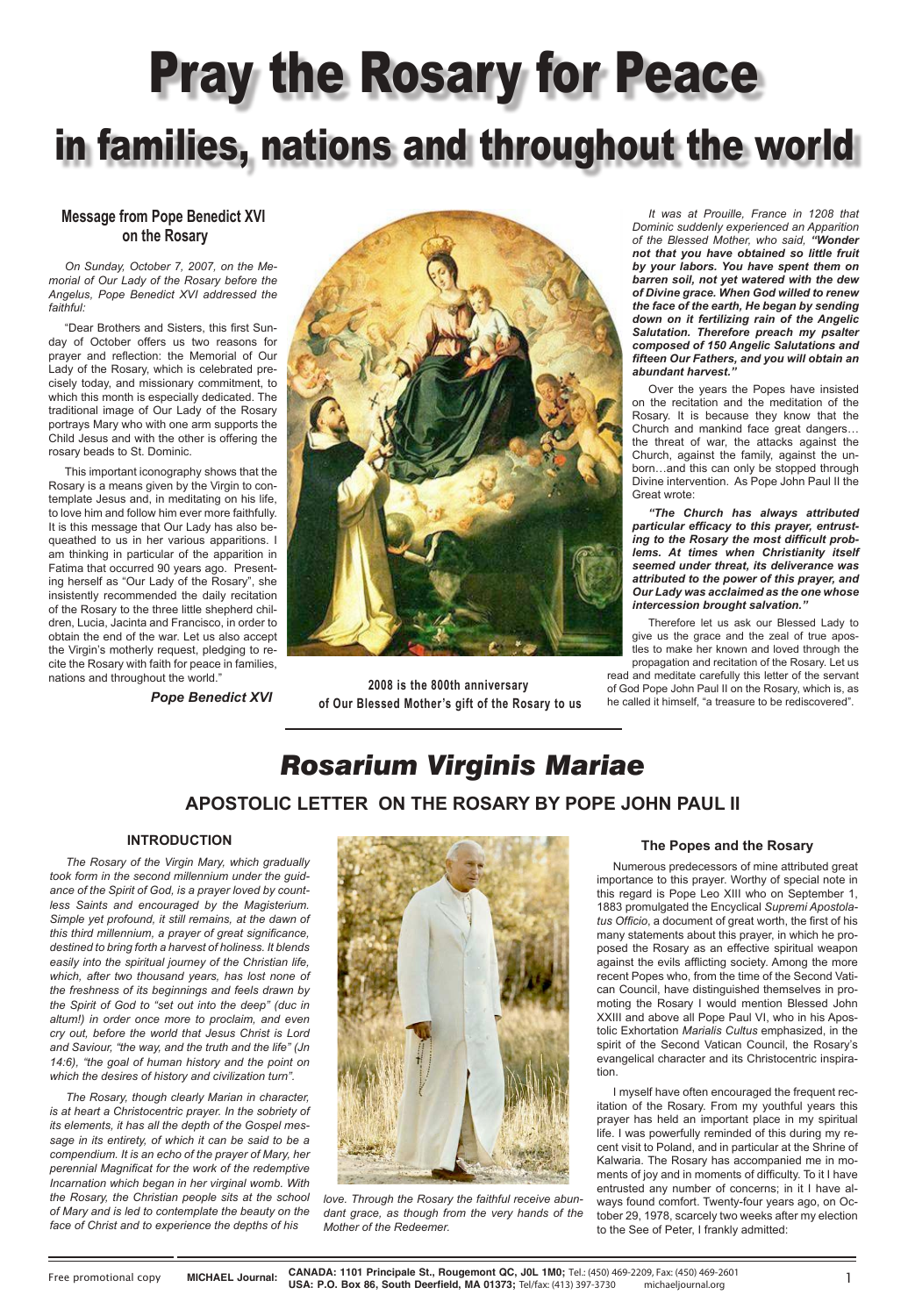# Pray the Rosary for Peace in families, nations and throughout the world

#### **INTRODUCTION**

*The Rosary of the Virgin Mary, which gradually took form in the second millennium under the guidance of the Spirit of God, is a prayer loved by countless Saints and encouraged by the Magisterium. Simple yet profound, it still remains, at the dawn of this third millennium, a prayer of great significance, destined to bring forth a harvest of holiness. It blends easily into the spiritual journey of the Christian life, which, after two thousand years, has lost none of the freshness of its beginnings and feels drawn by the Spirit of God to "set out into the deep" (duc in altum!) in order once more to proclaim, and even* 



*cry out, before the world that Jesus Christ is Lord and Saviour, "the way, and the truth and the life" (Jn 14:6), "the goal of human history and the point on which the desires of history and civilization turn".*

*The Rosary, though clearly Marian in character, is at heart a Christocentric prayer. In the sobriety of its elements, it has all the depth of the Gospel message in its entirety, of which it can be said to be a compendium. It is an echo of the prayer of Mary, her perennial Magnificat for the work of the redemptive Incarnation which began in her virginal womb. With the Rosary, the Christian people sits at the school of Mary and is led to contemplate the beauty on the face of Christ and to experience the depths of his* 

*love. Through the Rosary the faithful receive abundant grace, as though from the very hands of the Mother of the Redeemer.* 

*It was at Prouille, France in 1208 that Dominic suddenly experienced an Apparition of the Blessed Mother, who said, "Wonder not that you have obtained so little fruit by your labors. You have spent them on barren soil, not yet watered with the dew of Divine grace. When God willed to renew the face of the earth, He began by sending down on it fertilizing rain of the Angelic Salutation. Therefore preach my psalter composed of 150 Angelic Salutations and fifteen Our Fathers, and you will obtain an abundant harvest."*

Over the years the Popes have insisted on the recitation and the meditation of the Rosary. It is because they know that the Church and mankind face great dangers… the threat of war, the attacks against the Church, against the family, against the unborn…and this can only be stopped through Divine intervention. As Pope John Paul II the Great wrote:

*"The Church has always attributed particular efficacy to this prayer, entrusting to the Rosary the most difficult problems. At times when Christianity itself seemed under threat, its deliverance was attributed to the power of this prayer, and Our Lady was acclaimed as the one whose intercession brought salvation."*

Therefore let us ask our Blessed Lady to give us the grace and the zeal of true apostles to make her known and loved through the propagation and recitation of the Rosary. Let us

read and meditate carefully this letter of the servant of God Pope John Paul II on the Rosary, which is, as he called it himself, "a treasure to be rediscovered".

*On Sunday, October 7, 2007, on the Memorial of Our Lady of the Rosary before the Angelus, Pope Benedict XVI addressed the faithful:*

"Dear Brothers and Sisters, this first Sunday of October offers us two reasons for prayer and reflection: the Memorial of Our Lady of the Rosary, which is celebrated precisely today, and missionary commitment, to which this month is especially dedicated. The traditional image of Our Lady of the Rosary portrays Mary who with one arm supports the Child Jesus and with the other is offering the rosary beads to St. Dominic.

This important iconography shows that the Rosary is a means given by the Virgin to contemplate Jesus and, in meditating on his life, to love him and follow him ever more faithfully. It is this message that Our Lady has also bequeathed to us in her various apparitions. I am thinking in particular of the apparition in Fatima that occurred 90 years ago. Presenting herself as "Our Lady of the Rosary", she insistently recommended the daily recitation of the Rosary to the three little shepherd children, Lucia, Jacinta and Francisco, in order to obtain the end of the war. Let us also accept the Virgin's motherly request, pledging to recite the Rosary with faith for peace in families, nations and throughout the world."

*Pope Benedict XVI*



### **Message from Pope Benedict XVI on the Rosary**

**2008 is the 800th anniversary of Our Blessed Mother's gift of the Rosary to us**

## *Rosarium Virginis Mariae*

### **APOSTOLIC LETTER ON THE ROSARY BY POPE JOHN PAUL II**

#### **The Popes and the Rosary**

Numerous predecessors of mine attributed great importance to this prayer. Worthy of special note in this regard is Pope Leo XIII who on September 1, 1883 promulgated the Encyclical *Supremi Apostolatus Officio*, a document of great worth, the first of his many statements about this prayer, in which he proposed the Rosary as an effective spiritual weapon against the evils afflicting society. Among the more recent Popes who, from the time of the Second Vatican Council, have distinguished themselves in promoting the Rosary I would mention Blessed John XXIII and above all Pope Paul VI, who in his Apostolic Exhortation *Marialis Cultus* emphasized, in the spirit of the Second Vatican Council, the Rosary's evangelical character and its Christocentric inspiration.

I myself have often encouraged the frequent recitation of the Rosary. From my youthful years this prayer has held an important place in my spiritual life. I was powerfully reminded of this during my recent visit to Poland, and in particular at the Shrine of Kalwaria. The Rosary has accompanied me in moments of joy and in moments of difficulty. To it I have entrusted any number of concerns; in it I have always found comfort. Twenty-four years ago, on October 29, 1978, scarcely two weeks after my election to the See of Peter, I frankly admitted:

**CANADA: 1101 Principale St., Rougemont QC, J0L 1M0;** Tel.: (450) 469-2209, Fax: (450) 469-2601<br>**USA: P.O. Box 86, South Deerfield, MA 01373;** Tel/fax: (413) 397-3730 michaeljournal.org Free promotional copy **MICHAEL Journal: CANADA: TIUT Principale St., Rougeniont QC, JUL TIMO, Tel.: (450) 44<br>USA: P.O. Box 86, South Deerfield, MA 01373; Tel/fax: (413) 397-3730**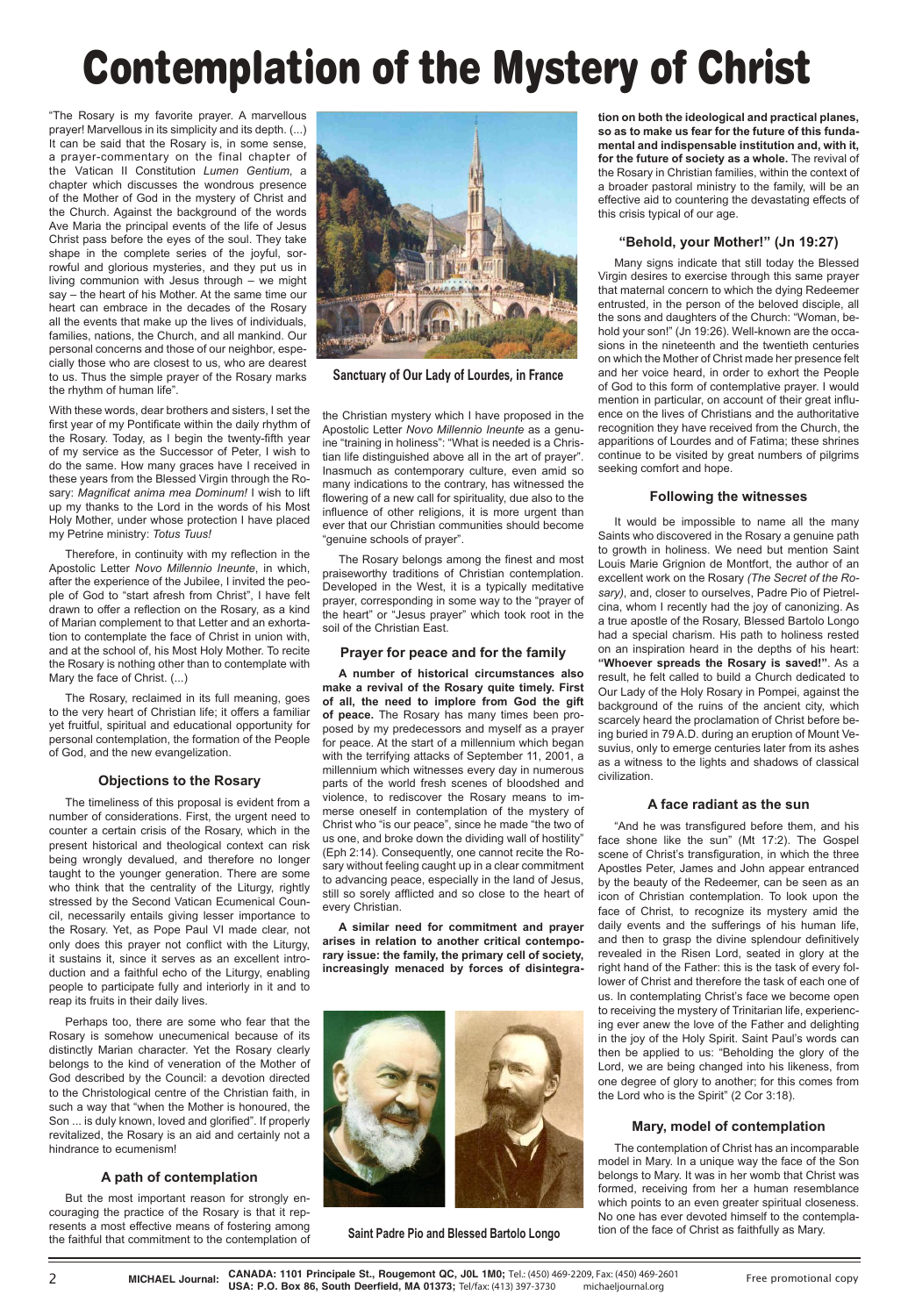"The Rosary is my favorite prayer. A marvellous prayer! Marvellous in its simplicity and its depth. (...) It can be said that the Rosary is, in some sense, a prayer-commentary on the final chapter of the Vatican II Constitution *Lumen Gentium*, a chapter which discusses the wondrous presence of the Mother of God in the mystery of Christ and the Church. Against the background of the words Ave Maria the principal events of the life of Jesus Christ pass before the eyes of the soul. They take shape in the complete series of the joyful, sorrowful and glorious mysteries, and they put us in living communion with Jesus through – we might say – the heart of his Mother. At the same time our heart can embrace in the decades of the Rosary all the events that make up the lives of individuals, families, nations, the Church, and all mankind. Our personal concerns and those of our neighbor, especially those who are closest to us, who are dearest to us. Thus the simple prayer of the Rosary marks the rhythm of human life".

With these words, dear brothers and sisters, I set the first year of my Pontificate within the daily rhythm of the Rosary. Today, as I begin the twenty-fifth year of my service as the Successor of Peter, I wish to do the same. How many graces have I received in these years from the Blessed Virgin through the Rosary: *Magnificat anima mea Dominum!* I wish to lift up my thanks to the Lord in the words of his Most Holy Mother, under whose protection I have placed my Petrine ministry: *Totus Tuus!*

Therefore, in continuity with my reflection in the Apostolic Letter *Novo Millennio Ineunte*, in which, after the experience of the Jubilee, I invited the people of God to "start afresh from Christ", I have felt drawn to offer a reflection on the Rosary, as a kind of Marian complement to that Letter and an exhortation to contemplate the face of Christ in union with, and at the school of, his Most Holy Mother. To recite the Rosary is nothing other than to contemplate with Mary the face of Christ. (...)

The Rosary, reclaimed in its full meaning, goes to the very heart of Christian life; it offers a familiar yet fruitful, spiritual and educational opportunity for personal contemplation, the formation of the People of God, and the new evangelization.

#### **Objections to the Rosary**

The timeliness of this proposal is evident from a number of considerations. First, the urgent need to counter a certain crisis of the Rosary, which in the present historical and theological context can risk being wrongly devalued, and therefore no longer taught to the younger generation. There are some who think that the centrality of the Liturgy, rightly stressed by the Second Vatican Ecumenical Council, necessarily entails giving lesser importance to the Rosary. Yet, as Pope Paul VI made clear, not only does this prayer not conflict with the Liturgy, it sustains it, since it serves as an excellent introduction and a faithful echo of the Liturgy, enabling people to participate fully and interiorly in it and to reap its fruits in their daily lives.

Perhaps too, there are some who fear that the

Rosary is somehow unecumenical because of its distinctly Marian character. Yet the Rosary clearly belongs to the kind of veneration of the Mother of God described by the Council: a devotion directed to the Christological centre of the Christian faith, in such a way that "when the Mother is honoured, the Son ... is duly known, loved and glorified". If properly revitalized, the Rosary is an aid and certainly not a hindrance to ecumenism!

#### **A path of contemplation**

But the most important reason for strongly encouraging the practice of the Rosary is that it represents a most effective means of fostering among the faithful that commitment to the contemplation of

the Christian mystery which I have proposed in the Apostolic Letter *Novo Millennio Ineunte* as a genuine "training in holiness": "What is needed is a Christian life distinguished above all in the art of prayer". Inasmuch as contemporary culture, even amid so many indications to the contrary, has witnessed the flowering of a new call for spirituality, due also to the influence of other religions, it is more urgent than ever that our Christian communities should become "genuine schools of prayer".

The Rosary belongs among the finest and most praiseworthy traditions of Christian contemplation. Developed in the West, it is a typically meditative prayer, corresponding in some way to the "prayer of the heart" or "Jesus prayer" which took root in the soil of the Christian East.

#### **Prayer for peace and for the family**

**A number of historical circumstances also make a revival of the Rosary quite timely. First of all, the need to implore from God the gift of peace.** The Rosary has many times been proposed by my predecessors and myself as a prayer for peace. At the start of a millennium which began with the terrifying attacks of September 11, 2001, a millennium which witnesses every day in numerous parts of the world fresh scenes of bloodshed and violence, to rediscover the Rosary means to immerse oneself in contemplation of the mystery of Christ who "is our peace", since he made "the two of us one, and broke down the dividing wall of hostility" (Eph 2:14). Consequently, one cannot recite the Rosary without feeling caught up in a clear commitment to advancing peace, especially in the land of Jesus, still so sorely afflicted and so close to the heart of every Christian.

**A similar need for commitment and prayer arises in relation to another critical contemporary issue: the family, the primary cell of society, increasingly menaced by forces of disintegra-**



**tion on both the ideological and practical planes, so as to make us fear for the future of this fundamental and indispensable institution and, with it, for the future of society as a whole.** The revival of the Rosary in Christian families, within the context of a broader pastoral ministry to the family, will be an effective aid to countering the devastating effects of this crisis typical of our age.

### **"Behold, your Mother!" (Jn 19:27)**

Many signs indicate that still today the Blessed Virgin desires to exercise through this same prayer that maternal concern to which the dying Redeemer entrusted, in the person of the beloved disciple, all the sons and daughters of the Church: "Woman, behold your son!" (Jn 19:26). Well-known are the occasions in the nineteenth and the twentieth centuries on which the Mother of Christ made her presence felt and her voice heard, in order to exhort the People of God to this form of contemplative prayer. I would mention in particular, on account of their great influence on the lives of Christians and the authoritative recognition they have received from the Church, the apparitions of Lourdes and of Fatima; these shrines continue to be visited by great numbers of pilgrims seeking comfort and hope.

#### **Following the witnesses**

It would be impossible to name all the many Saints who discovered in the Rosary a genuine path to growth in holiness. We need but mention Saint Louis Marie Grignion de Montfort, the author of an excellent work on the Rosary *(The Secret of the Rosary)*, and, closer to ourselves, Padre Pio of Pietrelcina, whom I recently had the joy of canonizing. As a true apostle of the Rosary, Blessed Bartolo Longo had a special charism. His path to holiness rested on an inspiration heard in the depths of his heart: **"Whoever spreads the Rosary is saved!"**. As a result, he felt called to build a Church dedicated to Our Lady of the Holy Rosary in Pompei, against the background of the ruins of the ancient city, which scarcely heard the proclamation of Christ before being buried in 79 A.D. during an eruption of Mount Vesuvius, only to emerge centuries later from its ashes as a witness to the lights and shadows of classical civilization.

#### **A face radiant as the sun**

"And he was transfigured before them, and his face shone like the sun" (Mt 17:2). The Gospel scene of Christ's transfiguration, in which the three Apostles Peter, James and John appear entranced by the beauty of the Redeemer, can be seen as an icon of Christian contemplation. To look upon the face of Christ, to recognize its mystery amid the daily events and the sufferings of his human life, and then to grasp the divine splendour definitively revealed in the Risen Lord, seated in glory at the right hand of the Father: this is the task of every follower of Christ and therefore the task of each one of us. In contemplating Christ's face we become open to receiving the mystery of Trinitarian life, experiencing ever anew the love of the Father and delighting in the joy of the Holy Spirit. Saint Paul's words can then be applied to us: "Beholding the glory of the Lord, we are being changed into his likeness, from one degree of glory to another; for this comes from the Lord who is the Spirit" (2 Cor 3:18).

#### **Mary, model of contemplation**

The contemplation of Christ has an incomparable model in Mary. In a unique way the face of the Son belongs to Mary. It was in her womb that Christ was formed, receiving from her a human resemblance which points to an even greater spiritual closeness. No one has ever devoted himself to the contemplation of the face of Christ as faithfully as Mary.

**MICHAEL Journal: CANADA: 1101 Principale St., Rougemont QC, J0L 1M0;** Tel.: (450) 469-2209, Fax: (450) 469-2601 Free promotional copy **CANADA: P.O. Box 86, South Deerfield, MA 01373;** Tel/fax: (413) 397-3730 michaeljourna **USA: P.O. Box 86, South Deerfield, MA 01373; Tel/fax: (413) 397-3730** 

# Contemplation of the Mystery of Christ



**Sanctuary of Our Lady of Lourdes, in France**

#### **Saint Padre Pio and Blessed Bartolo Longo**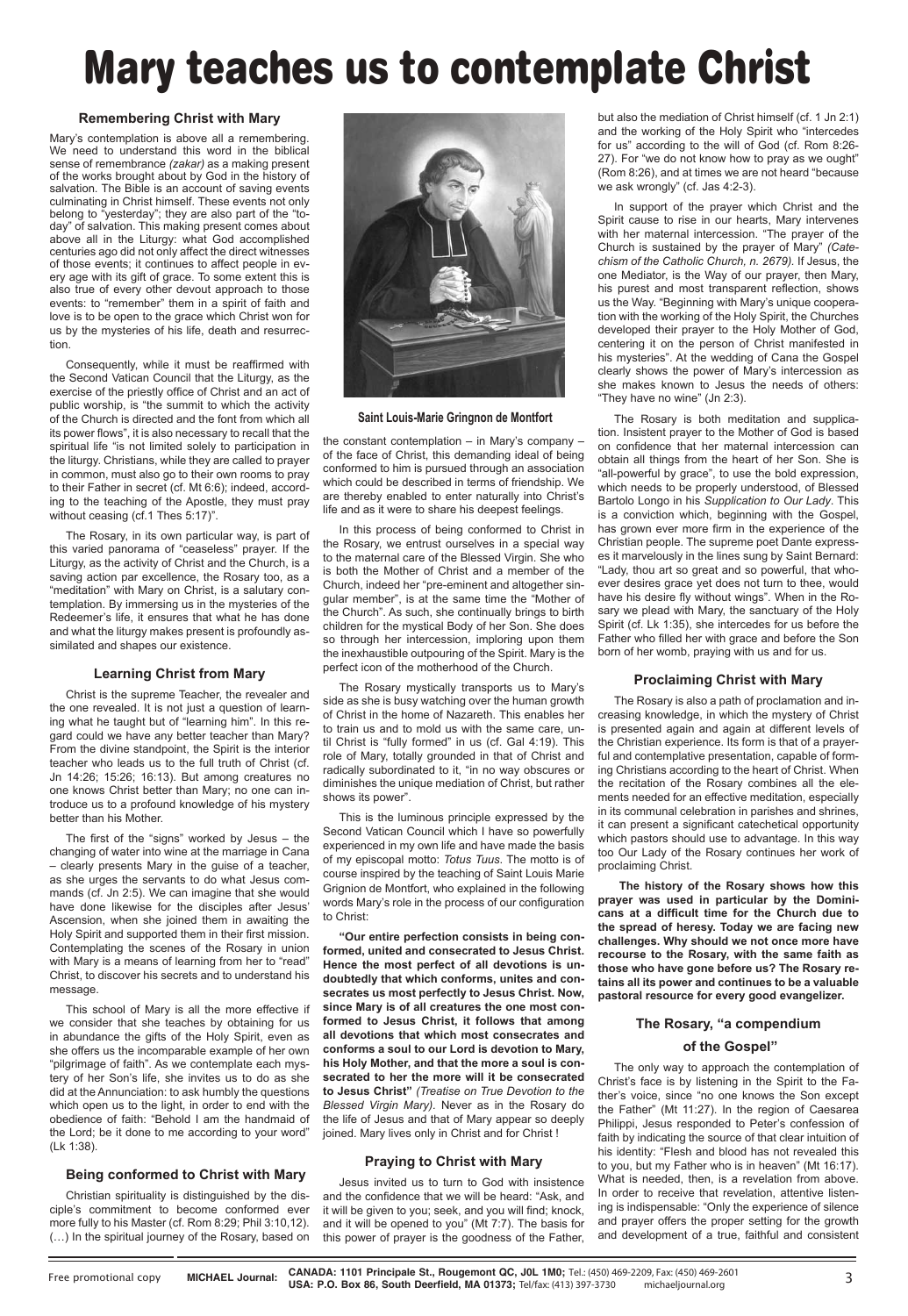#### **Remembering Christ with Mary**

Consequently, while it must be reaffirmed with the Second Vatican Council that the Liturgy, as the exercise of the priestly office of Christ and an act of public worship, is "the summit to which the activity of the Church is directed and the font from which all its power flows", it is also necessary to recall that the spiritual life "is not limited solely to participation in the liturgy. Christians, while they are called to prayer in common, must also go to their own rooms to pray to their Father in secret (cf. Mt 6:6); indeed, according to the teaching of the Apostle, they must pray without ceasing (cf.1 Thes 5:17)".

Mary's contemplation is above all a remembering. We need to understand this word in the biblical sense of remembrance *(zakar)* as a making present of the works brought about by God in the history of salvation. The Bible is an account of saving events culminating in Christ himself. These events not only belong to "yesterday"; they are also part of the "today" of salvation. This making present comes about above all in the Liturgy: what God accomplished centuries ago did not only affect the direct witnesses of those events; it continues to affect people in every age with its gift of grace. To some extent this is also true of every other devout approach to those events: to "remember" them in a spirit of faith and love is to be open to the grace which Christ won for us by the mysteries of his life, death and resurrection.

The Rosary, in its own particular way, is part of this varied panorama of "ceaseless" prayer. If the Liturgy, as the activity of Christ and the Church, is a saving action par excellence, the Rosary too, as a "meditation" with Mary on Christ, is a salutary contemplation. By immersing us in the mysteries of the Redeemer's life, it ensures that what he has done and what the liturgy makes present is profoundly assimilated and shapes our existence.

#### **Learning Christ from Mary**

Christ is the supreme Teacher, the revealer and the one revealed. It is not just a question of learning what he taught but of "learning him". In this regard could we have any better teacher than Mary? From the divine standpoint, the Spirit is the interior teacher who leads us to the full truth of Christ (cf. Jn 14:26; 15:26; 16:13). But among creatures no one knows Christ better than Mary; no one can introduce us to a profound knowledge of his mystery better than his Mother.

> **"Our entire perfection consists in being conformed, united and consecrated to Jesus Christ. Hence the most perfect of all devotions is undoubtedly that which conforms, unites and consecrates us most perfectly to Jesus Christ. Now, since Mary is of all creatures the one most conformed to Jesus Christ, it follows that among all devotions that which most consecrates and conforms a soul to our Lord is devotion to Mary, his Holy Mother, and that the more a soul is consecrated to her the more will it be consecrated to Jesus Christ"** *(Treatise on True Devotion to the Blessed Virgin Mary).* Never as in the Rosary do the life of Jesus and that of Mary appear so deeply joined. Mary lives only in Christ and for Christ !

The first of the "signs" worked by Jesus – the changing of water into wine at the marriage in Cana – clearly presents Mary in the guise of a teacher, as she urges the servants to do what Jesus commands (cf. Jn 2:5). We can imagine that she would have done likewise for the disciples after Jesus' Ascension, when she joined them in awaiting the Holy Spirit and supported them in their first mission. Contemplating the scenes of the Rosary in union with Mary is a means of learning from her to "read" Christ, to discover his secrets and to understand his message.

This school of Mary is all the more effective if we consider that she teaches by obtaining for us



in abundance the gifts of the Holy Spirit, even as she offers us the incomparable example of her own "pilgrimage of faith". As we contemplate each mystery of her Son's life, she invites us to do as she did at the Annunciation: to ask humbly the questions which open us to the light, in order to end with the obedience of faith: "Behold I am the handmaid of the Lord; be it done to me according to your word" (Lk 1:38).

#### **Being conformed to Christ with Mary**

Christian spirituality is distinguished by the disciple's commitment to become conformed ever more fully to his Master (cf. Rom 8:29; Phil 3:10,12). (…) In the spiritual journey of the Rosary, based on

the constant contemplation – in Mary's company – of the face of Christ, this demanding ideal of being conformed to him is pursued through an association which could be described in terms of friendship. We are thereby enabled to enter naturally into Christ's life and as it were to share his deepest feelings.

In this process of being conformed to Christ in the Rosary, we entrust ourselves in a special way to the maternal care of the Blessed Virgin. She who is both the Mother of Christ and a member of the Church, indeed her "pre-eminent and altogether singular member", is at the same time the "Mother of the Church". As such, she continually brings to birth children for the mystical Body of her Son. She does so through her intercession, imploring upon them the inexhaustible outpouring of the Spirit. Mary is the perfect icon of the motherhood of the Church.

The Rosary mystically transports us to Mary's side as she is busy watching over the human growth of Christ in the home of Nazareth. This enables her to train us and to mold us with the same care, until Christ is "fully formed" in us (cf. Gal 4:19). This role of Mary, totally grounded in that of Christ and radically subordinated to it, "in no way obscures or diminishes the unique mediation of Christ, but rather shows its power".

This is the luminous principle expressed by the Second Vatican Council which I have so powerfully experienced in my own life and have made the basis of my episcopal motto: *Totus Tuus*. The motto is of course inspired by the teaching of Saint Louis Marie Grignion de Montfort, who explained in the following words Mary's role in the process of our configuration to Christ:

#### **Praying to Christ with Mary**

Jesus invited us to turn to God with insistence and the confidence that we will be heard: "Ask, and it will be given to you; seek, and you will find; knock, and it will be opened to you" (Mt 7:7). The basis for this power of prayer is the goodness of the Father,

but also the mediation of Christ himself (cf. 1 Jn 2:1) and the working of the Holy Spirit who "intercedes for us" according to the will of God (cf. Rom 8:26- 27). For "we do not know how to pray as we ought" (Rom 8:26), and at times we are not heard "because we ask wrongly" (cf. Jas 4:2-3).

In support of the prayer which Christ and the Spirit cause to rise in our hearts, Mary intervenes with her maternal intercession. "The prayer of the Church is sustained by the prayer of Mary" *(Catechism of the Catholic Church, n. 2679).* If Jesus, the one Mediator, is the Way of our prayer, then Mary, his purest and most transparent reflection, shows us the Way. "Beginning with Mary's unique cooperation with the working of the Holy Spirit, the Churches developed their prayer to the Holy Mother of God, centering it on the person of Christ manifested in his mysteries". At the wedding of Cana the Gospel clearly shows the power of Mary's intercession as she makes known to Jesus the needs of others: "They have no wine" (Jn 2:3).

The Rosary is both meditation and supplication. Insistent prayer to the Mother of God is based on confidence that her maternal intercession can obtain all things from the heart of her Son. She is "all-powerful by grace", to use the bold expression, which needs to be properly understood, of Blessed Bartolo Longo in his *Supplication to Our Lady*. This is a conviction which, beginning with the Gospel, has grown ever more firm in the experience of the Christian people. The supreme poet Dante expresses it marvelously in the lines sung by Saint Bernard: "Lady, thou art so great and so powerful, that whoever desires grace yet does not turn to thee, would have his desire fly without wings". When in the Rosary we plead with Mary, the sanctuary of the Holy Spirit (cf. Lk 1:35), she intercedes for us before the Father who filled her with grace and before the Son born of her womb, praying with us and for us.

#### **Proclaiming Christ with Mary**

The Rosary is also a path of proclamation and increasing knowledge, in which the mystery of Christ is presented again and again at different levels of the Christian experience. Its form is that of a prayerful and contemplative presentation, capable of forming Christians according to the heart of Christ. When the recitation of the Rosary combines all the elements needed for an effective meditation, especially in its communal celebration in parishes and shrines, it can present a significant catechetical opportunity which pastors should use to advantage. In this way too Our Lady of the Rosary continues her work of proclaiming Christ.

 **The history of the Rosary shows how this prayer was used in particular by the Dominicans at a difficult time for the Church due to the spread of heresy. Today we are facing new challenges. Why should we not once more have recourse to the Rosary, with the same faith as those who have gone before us? The Rosary retains all its power and continues to be a valuable pastoral resource for every good evangelizer.**

#### **The Rosary, "a compendium**

#### **of the Gospel"**

The only way to approach the contemplation of Christ's face is by listening in the Spirit to the Father's voice, since "no one knows the Son except the Father" (Mt 11:27). In the region of Caesarea Philippi, Jesus responded to Peter's confession of faith by indicating the source of that clear intuition of his identity: "Flesh and blood has not revealed this to you, but my Father who is in heaven" (Mt 16:17). What is needed, then, is a revelation from above. In order to receive that revelation, attentive listening is indispensable: "Only the experience of silence and prayer offers the proper setting for the growth and development of a true, faithful and consistent

**CANADA: 1101 Principale St., Rougemont QC, JOL 1M0;** Tel.: (450) 469-2209, Fax: (450) 469-2601<br>**USA: P.O. Box 86, South Deerfield, MA 01373;** Tel/fax: (413) 397-3730 michaeljournal.org Free promotional copy **MICHAEL Journal: CANADA: TIUT Principale St., Rougeniont QC, JUL TIMO, Tel.: (450) 44<br>USA: P.O. Box 86, South Deerfield, MA 01373; Tel/fax: (413) 397-3730** 

## Mary teaches us to contemplate Christ

#### **Saint Louis-Marie Gringnon de Montfort**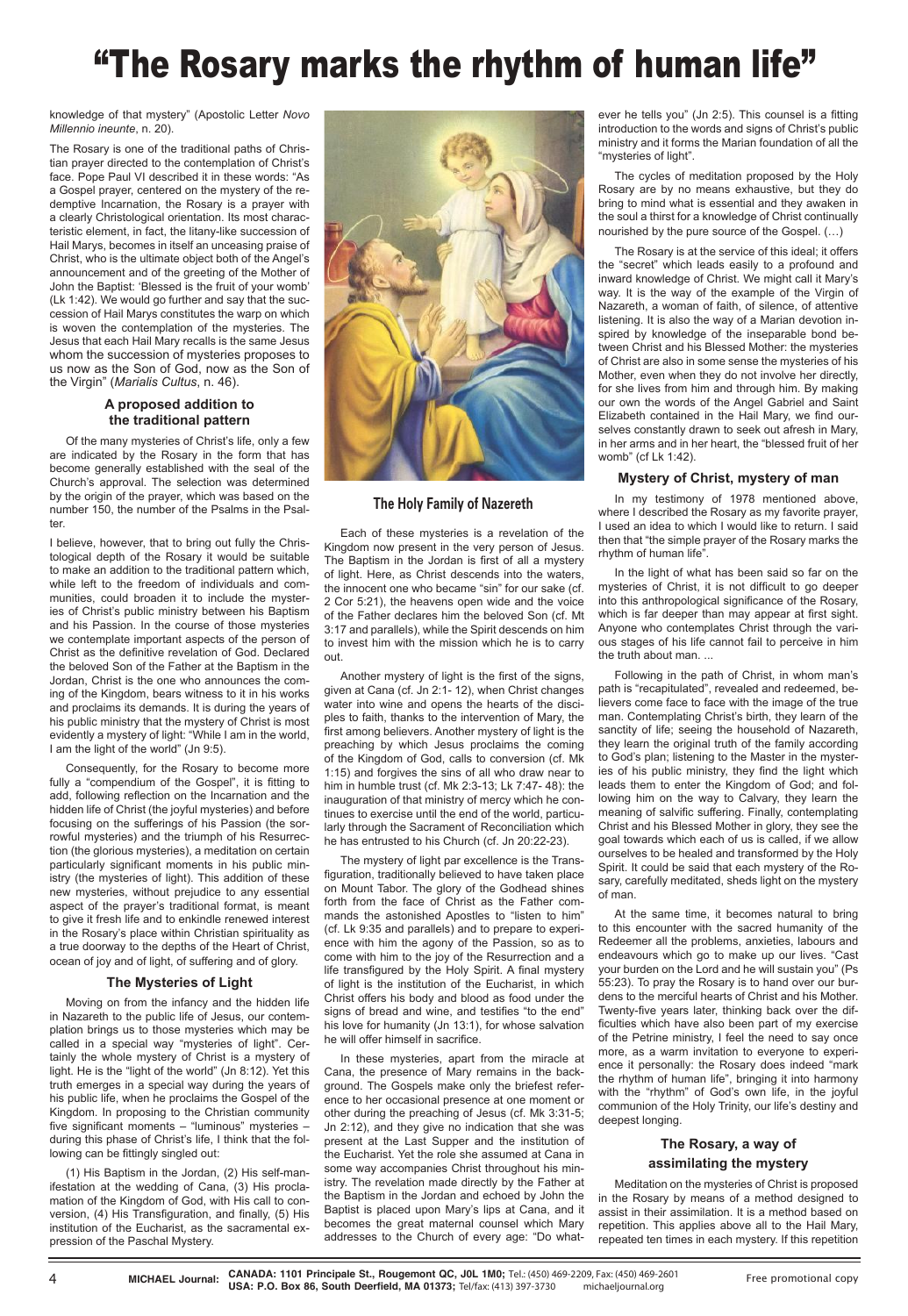Each of these mysteries is a revelation of the Kingdom now present in the very person of Jesus. The Baptism in the Jordan is first of all a mystery of light. Here, as Christ descends into the waters, the innocent one who became "sin" for our sake (cf. 2 Cor 5:21), the heavens open wide and the voice of the Father declares him the beloved Son (cf. Mt 3:17 and parallels), while the Spirit descends on him to invest him with the mission which he is to carry out.

Another mystery of light is the first of the signs, given at Cana (cf. Jn 2:1- 12), when Christ changes water into wine and opens the hearts of the disciples to faith, thanks to the intervention of Mary, the first among believers. Another mystery of light is the preaching by which Jesus proclaims the coming of the Kingdom of God, calls to conversion (cf. Mk 1:15) and forgives the sins of all who draw near to him in humble trust (cf. Mk 2:3-13; Lk 7:47- 48): the inauguration of that ministry of mercy which he continues to exercise until the end of the world, particularly through the Sacrament of Reconciliation which he has entrusted to his Church (cf. Jn 20:22-23).

The mystery of light par excellence is the Transfiguration, traditionally believed to have taken place on Mount Tabor. The glory of the Godhead shines forth from the face of Christ as the Father commands the astonished Apostles to "listen to him" (cf. Lk 9:35 and parallels) and to prepare to experience with him the agony of the Passion, so as to come with him to the joy of the Resurrection and a life transfigured by the Holy Spirit. A final mystery of light is the institution of the Eucharist, in which Christ offers his body and blood as food under the signs of bread and wine, and testifies "to the end" his love for humanity (Jn 13:1), for whose salvation

he will offer himself in sacrifice.

In these mysteries, apart from the miracle at Cana, the presence of Mary remains in the background. The Gospels make only the briefest reference to her occasional presence at one moment or other during the preaching of Jesus (cf. Mk 3:31-5; Jn 2:12), and they give no indication that she was present at the Last Supper and the institution of the Eucharist. Yet the role she assumed at Cana in some way accompanies Christ throughout his ministry. The revelation made directly by the Father at the Baptism in the Jordan and echoed by John the Baptist is placed upon Mary's lips at Cana, and it becomes the great maternal counsel which Mary addresses to the Church of every age: "Do whatever he tells you" (Jn 2:5). This counsel is a fitting introduction to the words and signs of Christ's public ministry and it forms the Marian foundation of all the "mysteries of light".

The cycles of meditation proposed by the Holy Rosary are by no means exhaustive, but they do bring to mind what is essential and they awaken in the soul a thirst for a knowledge of Christ continually nourished by the pure source of the Gospel. (…)

The Rosary is at the service of this ideal; it offers the "secret" which leads easily to a profound and inward knowledge of Christ. We might call it Mary's way. It is the way of the example of the Virgin of Nazareth, a woman of faith, of silence, of attentive listening. It is also the way of a Marian devotion inspired by knowledge of the inseparable bond between Christ and his Blessed Mother: the mysteries of Christ are also in some sense the mysteries of his Mother, even when they do not involve her directly, for she lives from him and through him. By making our own the words of the Angel Gabriel and Saint Elizabeth contained in the Hail Mary, we find ourselves constantly drawn to seek out afresh in Mary, in her arms and in her heart, the "blessed fruit of her womb" (cf Lk 1:42).

I believe, however, that to bring out fully the Christological depth of the Rosary it would be suitable to make an addition to the traditional pattern which, while left to the freedom of individuals and communities, could broaden it to include the mysteries of Christ's public ministry between his Baptism and his Passion. In the course of those mysteries we contemplate important aspects of the person of Christ as the definitive revelation of God. Declared the beloved Son of the Father at the Baptism in the Jordan, Christ is the one who announces the coming of the Kingdom, bears witness to it in his works and proclaims its demands. It is during the years of his public ministry that the mystery of Christ is most evidently a mystery of light: "While I am in the world, I am the light of the world" (Jn 9:5).

#### **Mystery of Christ, mystery of man**

In my testimony of 1978 mentioned above, where I described the Rosary as my favorite prayer, I used an idea to which I would like to return. I said then that "the simple prayer of the Rosary marks the rhythm of human life".

In the light of what has been said so far on the mysteries of Christ, it is not difficult to go deeper into this anthropological significance of the Rosary, which is far deeper than may appear at first sight. Anyone who contemplates Christ through the various stages of his life cannot fail to perceive in him the truth about man. ...

Following in the path of Christ, in whom man's path is "recapitulated", revealed and redeemed, believers come face to face with the image of the true man. Contemplating Christ's birth, they learn of the sanctity of life; seeing the household of Nazareth, they learn the original truth of the family according to God's plan; listening to the Master in the mysteries of his public ministry, they find the light which leads them to enter the Kingdom of God; and following him on the way to Calvary, they learn the meaning of salvific suffering. Finally, contemplating Christ and his Blessed Mother in glory, they see the goal towards which each of us is called, if we allow ourselves to be healed and transformed by the Holy Spirit. It could be said that each mystery of the Rosary, carefully meditated, sheds light on the mystery of man.

At the same time, it becomes natural to bring to this encounter with the sacred humanity of the Redeemer all the problems, anxieties, labours and endeavours which go to make up our lives. "Cast your burden on the Lord and he will sustain you" (Ps 55:23). To pray the Rosary is to hand over our burdens to the merciful hearts of Christ and his Mother. Twenty-five years later, thinking back over the difficulties which have also been part of my exercise of the Petrine ministry, I feel the need to say once more, as a warm invitation to everyone to experience it personally: the Rosary does indeed "mark the rhythm of human life", bringing it into harmony with the "rhythm" of God's own life, in the joyful communion of the Holy Trinity, our life's destiny and deepest longing.

### **The Rosary, a way of assimilating the mystery**

Meditation on the mysteries of Christ is proposed in the Rosary by means of a method designed to assist in their assimilation. It is a method based on repetition. This applies above all to the Hail Mary, repeated ten times in each mystery. If this repetition

A MICHAEL Journal: CANADA: 1101 Principale St., Rougemont QC, JOL 1M0; Tel.: (450) 469-2209, Fax: (450) 469-2601<br> **CANADA: P.O. Box 86, South Deerfield, MA 01373;** Tel/fax: (413) 397-3730 michaeljournal.org **USA: P.O. Box 86, South Deerfield, MA 01373; Tel/fax: (413) 397-3730** 

## "The Rosary marks the rhythm of human life"

#### **The Holy Family of Nazereth**

knowledge of that mystery" (Apostolic Letter *Novo Millennio ineunte*, n. 20).

The Rosary is one of the traditional paths of Christian prayer directed to the contemplation of Christ's face. Pope Paul VI described it in these words: "As a Gospel prayer, centered on the mystery of the redemptive Incarnation, the Rosary is a prayer with a clearly Christological orientation. Its most characteristic element, in fact, the litany-like succession of Hail Marys, becomes in itself an unceasing praise of Christ, who is the ultimate object both of the Angel's announcement and of the greeting of the Mother of John the Baptist: 'Blessed is the fruit of your womb' (Lk 1:42). We would go further and say that the succession of Hail Marys constitutes the warp on which is woven the contemplation of the mysteries. The Jesus that each Hail Mary recalls is the same Jesus whom the succession of mysteries proposes to us now as the Son of God, now as the Son of the Virgin" (*Marialis Cultus*, n. 46).

#### **A proposed addition to the traditional pattern**

Of the many mysteries of Christ's life, only a few are indicated by the Rosary in the form that has become generally established with the seal of the Church's approval. The selection was determined by the origin of the prayer, which was based on the number 150, the number of the Psalms in the Psalter.

Consequently, for the Rosary to become more fully a "compendium of the Gospel", it is fitting to add, following reflection on the Incarnation and the hidden life of Christ (the joyful mysteries) and before focusing on the sufferings of his Passion (the sorrowful mysteries) and the triumph of his Resurrection (the glorious mysteries), a meditation on certain particularly significant moments in his public ministry (the mysteries of light). This addition of these new mysteries, without prejudice to any essential aspect of the prayer's traditional format, is meant to give it fresh life and to enkindle renewed interest in the Rosary's place within Christian spirituality as a true doorway to the depths of the Heart of Christ, ocean of joy and of light, of suffering and of glory.

#### **The Mysteries of Light**

Moving on from the infancy and the hidden life in Nazareth to the public life of Jesus, our contem-



plation brings us to those mysteries which may be called in a special way "mysteries of light". Certainly the whole mystery of Christ is a mystery of light. He is the "light of the world" (Jn 8:12). Yet this truth emerges in a special way during the years of his public life, when he proclaims the Gospel of the Kingdom. In proposing to the Christian community five significant moments – "luminous" mysteries – during this phase of Christ's life, I think that the following can be fittingly singled out:

(1) His Baptism in the Jordan, (2) His self-manifestation at the wedding of Cana, (3) His proclamation of the Kingdom of God, with His call to conversion, (4) His Transfiguration, and finally, (5) His institution of the Eucharist, as the sacramental expression of the Paschal Mystery.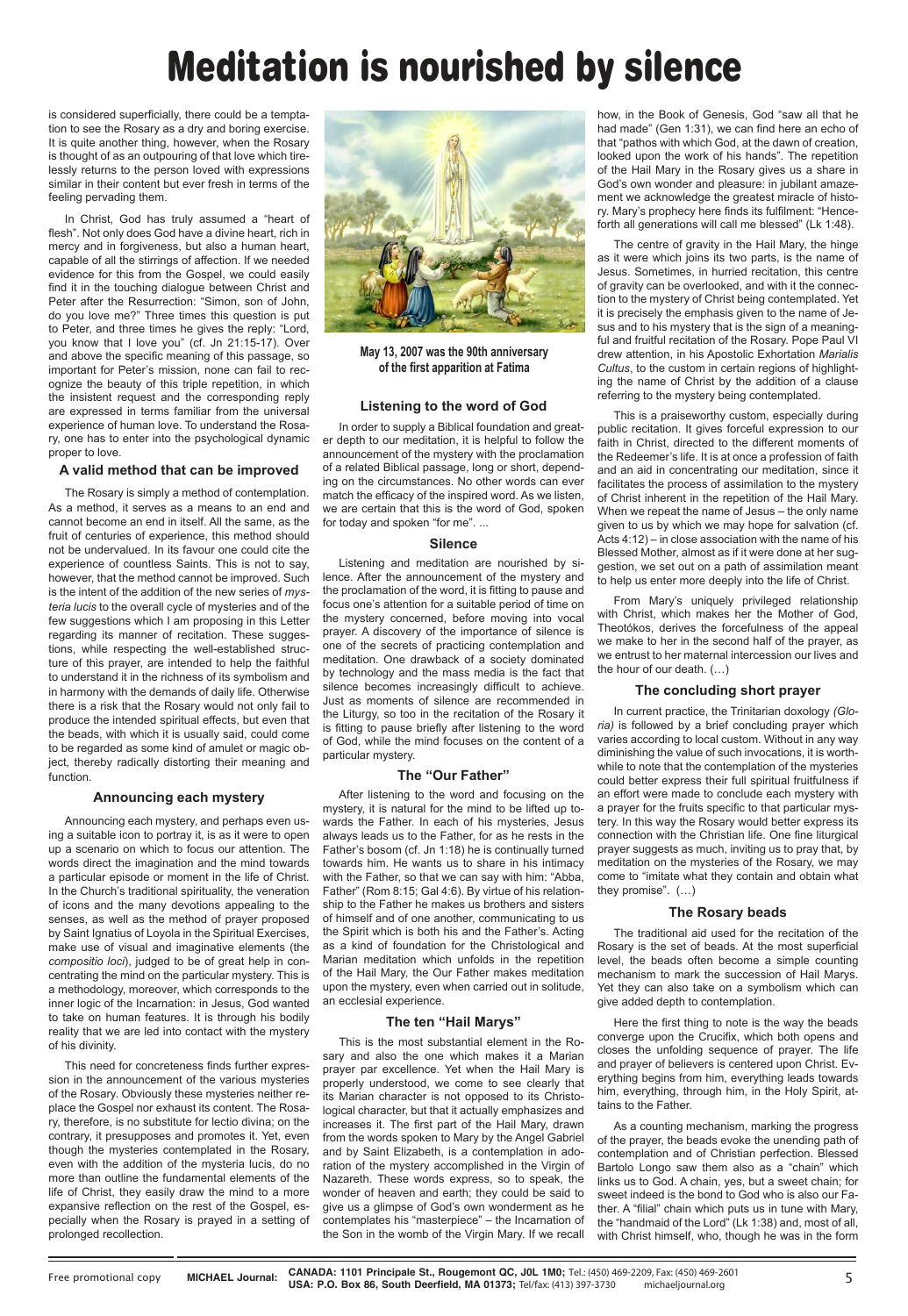is considered superficially, there could be a temptation to see the Rosary as a dry and boring exercise. It is quite another thing, however, when the Rosary is thought of as an outpouring of that love which tirelessly returns to the person loved with expressions similar in their content but ever fresh in terms of the feeling pervading them.

In Christ, God has truly assumed a "heart of flesh". Not only does God have a divine heart, rich in mercy and in forgiveness, but also a human heart, capable of all the stirrings of affection. If we needed evidence for this from the Gospel, we could easily find it in the touching dialogue between Christ and Peter after the Resurrection: "Simon, son of John, do you love me?" Three times this question is put to Peter, and three times he gives the reply: "Lord, you know that I love you" (cf. Jn 21:15-17). Over and above the specific meaning of this passage, so important for Peter's mission, none can fail to recognize the beauty of this triple repetition, in which the insistent request and the corresponding reply are expressed in terms familiar from the universal experience of human love. To understand the Rosary, one has to enter into the psychological dynamic proper to love.

#### **A valid method that can be improved**

The Rosary is simply a method of contemplation. As a method, it serves as a means to an end and cannot become an end in itself. All the same, as the fruit of centuries of experience, this method should not be undervalued. In its favour one could cite the experience of countless Saints. This is not to say, however, that the method cannot be improved. Such is the intent of the addition of the new series of *mysteria lucis* to the overall cycle of mysteries and of the few suggestions which I am proposing in this Letter regarding its manner of recitation. These suggestions, while respecting the well-established structure of this prayer, are intended to help the faithful to understand it in the richness of its symbolism and in harmony with the demands of daily life. Otherwise there is a risk that the Rosary would not only fail to produce the intended spiritual effects, but even that the beads, with which it is usually said, could come to be regarded as some kind of amulet or magic object, thereby radically distorting their meaning and function.

#### **Announcing each mystery**

Announcing each mystery, and perhaps even using a suitable icon to portray it, is as it were to open up a scenario on which to focus our attention. The words direct the imagination and the mind towards a particular episode or moment in the life of Christ. In the Church's traditional spirituality, the veneration of icons and the many devotions appealing to the senses, as well as the method of prayer proposed by Saint Ignatius of Loyola in the Spiritual Exercises, make use of visual and imaginative elements (the *compositio loci*), judged to be of great help in concentrating the mind on the particular mystery. This is a methodology, moreover, which corresponds to the inner logic of the Incarnation: in Jesus, God wanted to take on human features. It is through his bodily reality that we are led into contact with the mystery of his divinity. This need for concreteness finds further expression in the announcement of the various mysteries of the Rosary. Obviously these mysteries neither replace the Gospel nor exhaust its content. The Rosary, therefore, is no substitute for lectio divina; on the contrary, it presupposes and promotes it. Yet, even though the mysteries contemplated in the Rosary, even with the addition of the mysteria lucis, do no more than outline the fundamental elements of the life of Christ, they easily draw the mind to a more expansive reflection on the rest of the Gospel, especially when the Rosary is prayed in a setting of prolonged recollection.

#### **Listening to the word of God**

In order to supply a Biblical foundation and greater depth to our meditation, it is helpful to follow the announcement of the mystery with the proclamation of a related Biblical passage, long or short, depending on the circumstances. No other words can ever match the efficacy of the inspired word. As we listen, we are certain that this is the word of God, spoken for today and spoken "for me". ...

#### **Silence**

Listening and meditation are nourished by silence. After the announcement of the mystery and the proclamation of the word, it is fitting to pause and focus one's attention for a suitable period of time on the mystery concerned, before moving into vocal prayer. A discovery of the importance of silence is one of the secrets of practicing contemplation and meditation. One drawback of a society dominated by technology and the mass media is the fact that silence becomes increasingly difficult to achieve. Just as moments of silence are recommended in the Liturgy, so too in the recitation of the Rosary it is fitting to pause briefly after listening to the word of God, while the mind focuses on the content of a particular mystery.

#### **The "Our Father"**

After listening to the word and focusing on the mystery, it is natural for the mind to be lifted up towards the Father. In each of his mysteries, Jesus always leads us to the Father, for as he rests in the Father's bosom (cf. Jn 1:18) he is continually turned towards him. He wants us to share in his intimacy with the Father, so that we can say with him: "Abba, Father" (Rom 8:15; Gal 4:6). By virtue of his relationship to the Father he makes us brothers and sisters of himself and of one another, communicating to us the Spirit which is both his and the Father's. Acting as a kind of foundation for the Christological and Marian meditation which unfolds in the repetition of the Hail Mary, the Our Father makes meditation upon the mystery, even when carried out in solitude, an ecclesial experience.

#### **The ten "Hail Marys"**

This is the most substantial element in the Rosary and also the one which makes it a Marian prayer par excellence. Yet when the Hail Mary is properly understood, we come to see clearly that its Marian character is not opposed to its Christological character, but that it actually emphasizes and increases it. The first part of the Hail Mary, drawn from the words spoken to Mary by the Angel Gabriel and by Saint Elizabeth, is a contemplation in adoration of the mystery accomplished in the Virgin of Nazareth. These words express, so to speak, the wonder of heaven and earth; they could be said to give us a glimpse of God's own wonderment as he contemplates his "masterpiece" – the Incarnation of the Son in the womb of the Virgin Mary. If we recall

how, in the Book of Genesis, God "saw all that he had made" (Gen 1:31), we can find here an echo of that "pathos with which God, at the dawn of creation, looked upon the work of his hands". The repetition of the Hail Mary in the Rosary gives us a share in God's own wonder and pleasure: in jubilant amazement we acknowledge the greatest miracle of history. Mary's prophecy here finds its fulfilment: "Henceforth all generations will call me blessed" (Lk 1:48).

The centre of gravity in the Hail Mary, the hinge as it were which joins its two parts, is the name of Jesus. Sometimes, in hurried recitation, this centre of gravity can be overlooked, and with it the connection to the mystery of Christ being contemplated. Yet it is precisely the emphasis given to the name of Jesus and to his mystery that is the sign of a meaningful and fruitful recitation of the Rosary. Pope Paul VI drew attention, in his Apostolic Exhortation *Marialis Cultus*, to the custom in certain regions of highlighting the name of Christ by the addition of a clause referring to the mystery being contemplated.

This is a praiseworthy custom, especially during public recitation. It gives forceful expression to our faith in Christ, directed to the different moments of the Redeemer's life. It is at once a profession of faith and an aid in concentrating our meditation, since it facilitates the process of assimilation to the mystery of Christ inherent in the repetition of the Hail Mary. When we repeat the name of Jesus – the only name given to us by which we may hope for salvation (cf. Acts 4:12) – in close association with the name of his Blessed Mother, almost as if it were done at her suggestion, we set out on a path of assimilation meant to help us enter more deeply into the life of Christ.

From Mary's uniquely privileged relationship with Christ, which makes her the Mother of God, Theotókos, derives the forcefulness of the appeal we make to her in the second half of the prayer, as we entrust to her maternal intercession our lives and the hour of our death. (…)

#### **The concluding short prayer**

In current practice, the Trinitarian doxology *(Gloria)* is followed by a brief concluding prayer which varies according to local custom. Without in any way diminishing the value of such invocations, it is worthwhile to note that the contemplation of the mysteries could better express their full spiritual fruitfulness if an effort were made to conclude each mystery with a prayer for the fruits specific to that particular mystery. In this way the Rosary would better express its connection with the Christian life. One fine liturgical prayer suggests as much, inviting us to pray that, by meditation on the mysteries of the Rosary, we may come to "imitate what they contain and obtain what they promise". (…)

#### **The Rosary beads**

The traditional aid used for the recitation of the Rosary is the set of beads. At the most superficial level, the beads often become a simple counting mechanism to mark the succession of Hail Marys. Yet they can also take on a symbolism which can give added depth to contemplation.

Here the first thing to note is the way the beads

converge upon the Crucifix, which both opens and closes the unfolding sequence of prayer. The life and prayer of believers is centered upon Christ. Everything begins from him, everything leads towards him, everything, through him, in the Holy Spirit, attains to the Father.

As a counting mechanism, marking the progress of the prayer, the beads evoke the unending path of contemplation and of Christian perfection. Blessed Bartolo Longo saw them also as a "chain" which links us to God. A chain, yes, but a sweet chain; for sweet indeed is the bond to God who is also our Father. A "filial" chain which puts us in tune with Mary, the "handmaid of the Lord" (Lk 1:38) and, most of all, with Christ himself, who, though he was in the form

**CANADA: 1101 Principale St., Rougemont QC, J0L 1M0;** Tel.: (450) 469-2209, Fax: (450) 469-2601<br>**USA: P.O. Box 86, South Deerfield, MA 01373;** Tel/fax: (413) 397-3730 michaeljournal.org **Free promotional copy MICHAEL Journal: CANADA: TIUT Principale St., Hougemont QC, JUL TIMU;** Tel.: (450) 46<br>USA: P.O. Box 86, South Deerfield, MA 01373; Tel/fax: (413) 397-3730

## Meditation is nourished by silence



**May 13, 2007 was the 90th anniversary of the first apparition at Fatima**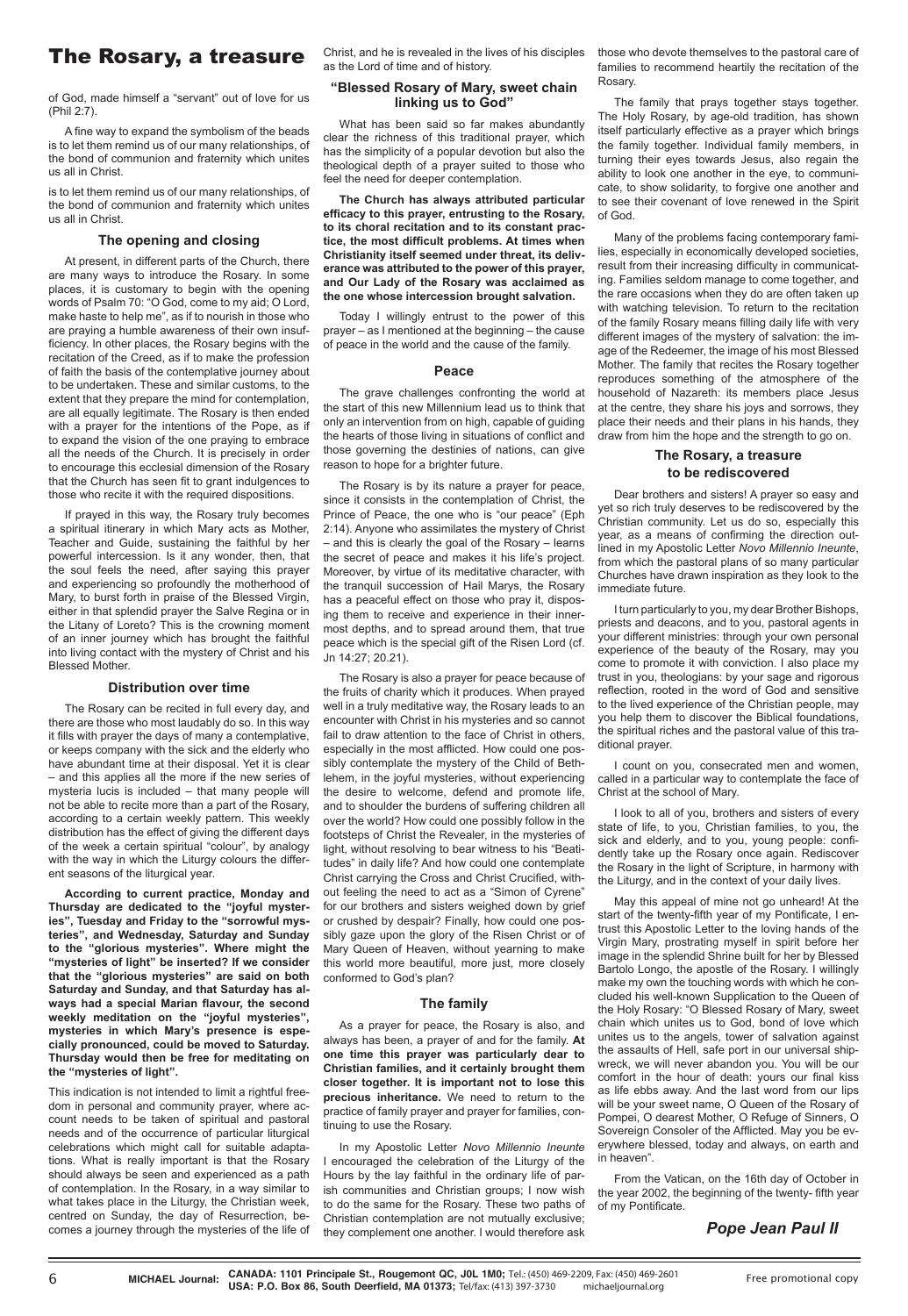of God, made himself a "servant" out of love for us (Phil 2:7).

A fine way to expand the symbolism of the beads is to let them remind us of our many relationships, of the bond of communion and fraternity which unites us all in Christ.

is to let them remind us of our many relationships, of the bond of communion and fraternity which unites us all in Christ.

#### **The opening and closing**

At present, in different parts of the Church, there are many ways to introduce the Rosary. In some places, it is customary to begin with the opening words of Psalm 70: "O God, come to my aid; O Lord, make haste to help me", as if to nourish in those who are praying a humble awareness of their own insufficiency. In other places, the Rosary begins with the recitation of the Creed, as if to make the profession of faith the basis of the contemplative journey about to be undertaken. These and similar customs, to the extent that they prepare the mind for contemplation, are all equally legitimate. The Rosary is then ended with a prayer for the intentions of the Pope, as if to expand the vision of the one praying to embrace all the needs of the Church. It is precisely in order to encourage this ecclesial dimension of the Rosary that the Church has seen fit to grant indulgences to those who recite it with the required dispositions.

If prayed in this way, the Rosary truly becomes a spiritual itinerary in which Mary acts as Mother, Teacher and Guide, sustaining the faithful by her powerful intercession. Is it any wonder, then, that the soul feels the need, after saying this prayer and experiencing so profoundly the motherhood of Mary, to burst forth in praise of the Blessed Virgin, either in that splendid prayer the Salve Regina or in the Litany of Loreto? This is the crowning moment of an inner journey which has brought the faithful into living contact with the mystery of Christ and his Blessed Mother.

#### **Distribution over time**

The Rosary can be recited in full every day, and there are those who most laudably do so. In this way it fills with prayer the days of many a contemplative, or keeps company with the sick and the elderly who have abundant time at their disposal. Yet it is clear – and this applies all the more if the new series of mysteria lucis is included – that many people will not be able to recite more than a part of the Rosary, according to a certain weekly pattern. This weekly distribution has the effect of giving the different days of the week a certain spiritual "colour", by analogy with the way in which the Liturgy colours the different seasons of the liturgical year.

**According to current practice, Monday and Thursday are dedicated to the "joyful mysteries", Tuesday and Friday to the "sorrowful mysteries", and Wednesday, Saturday and Sunday to the "glorious mysteries". Where might the "mysteries of light" be inserted? If we consider that the "glorious mysteries" are said on both Saturday and Sunday, and that Saturday has always had a special Marian flavour, the second weekly meditation on the "joyful mysteries", mysteries in which Mary's presence is especially pronounced, could be moved to Saturday. Thursday would then be free for meditating on the "mysteries of light".** 

This indication is not intended to limit a rightful freedom in personal and community prayer, where account needs to be taken of spiritual and pastoral needs and of the occurrence of particular liturgical celebrations which might call for suitable adaptations. What is really important is that the Rosary should always be seen and experienced as a path of contemplation. In the Rosary, in a way similar to what takes place in the Liturgy, the Christian week, centred on Sunday, the day of Resurrection, becomes a journey through the mysteries of the life of

Christ, and he is revealed in the lives of his disciples those who devote themselves to the pastoral care of families to recommend heartily the recitation of the Rosary.

as the Lord of time and of history.

#### **"Blessed Rosary of Mary, sweet chain linking us to God"**

What has been said so far makes abundantly clear the richness of this traditional prayer, which has the simplicity of a popular devotion but also the theological depth of a prayer suited to those who feel the need for deeper contemplation.

**The Church has always attributed particular efficacy to this prayer, entrusting to the Rosary, to its choral recitation and to its constant practice, the most difficult problems. At times when Christianity itself seemed under threat, its deliverance was attributed to the power of this prayer, and Our Lady of the Rosary was acclaimed as the one whose intercession brought salvation.** 

Today I willingly entrust to the power of this prayer – as I mentioned at the beginning – the cause of peace in the world and the cause of the family.

#### **Peace**

The grave challenges confronting the world at the start of this new Millennium lead us to think that only an intervention from on high, capable of guiding the hearts of those living in situations of conflict and those governing the destinies of nations, can give reason to hope for a brighter future.

The Rosary is by its nature a prayer for peace, since it consists in the contemplation of Christ, the Prince of Peace, the one who is "our peace" (Eph 2:14). Anyone who assimilates the mystery of Christ – and this is clearly the goal of the Rosary – learns the secret of peace and makes it his life's project. Moreover, by virtue of its meditative character, with the tranquil succession of Hail Marys, the Rosary has a peaceful effect on those who pray it, disposing them to receive and experience in their innermost depths, and to spread around them, that true peace which is the special gift of the Risen Lord (cf. Jn 14:27; 20.21).

The Rosary is also a prayer for peace because of the fruits of charity which it produces. When prayed well in a truly meditative way, the Rosary leads to an encounter with Christ in his mysteries and so cannot fail to draw attention to the face of Christ in others, especially in the most afflicted. How could one possibly contemplate the mystery of the Child of Bethlehem, in the joyful mysteries, without experiencing the desire to welcome, defend and promote life, and to shoulder the burdens of suffering children all over the world? How could one possibly follow in the footsteps of Christ the Revealer, in the mysteries of light, without resolving to bear witness to his "Beatitudes" in daily life? And how could one contemplate Christ carrying the Cross and Christ Crucified, without feeling the need to act as a "Simon of Cyrene" for our brothers and sisters weighed down by grief or crushed by despair? Finally, how could one possibly gaze upon the glory of the Risen Christ or of Mary Queen of Heaven, without yearning to make this world more beautiful, more just, more closely conformed to God's plan?

#### **The family**

As a prayer for peace, the Rosary is also, and

always has been, a prayer of and for the family. **At one time this prayer was particularly dear to Christian families, and it certainly brought them closer together. It is important not to lose this precious inheritance.** We need to return to the practice of family prayer and prayer for families, continuing to use the Rosary.

In my Apostolic Letter *Novo Millennio Ineunte* I encouraged the celebration of the Liturgy of the Hours by the lay faithful in the ordinary life of parish communities and Christian groups; I now wish to do the same for the Rosary. These two paths of Christian contemplation are not mutually exclusive; they complement one another. I would therefore ask

The family that prays together stays together. The Holy Rosary, by age-old tradition, has shown itself particularly effective as a prayer which brings the family together. Individual family members, in turning their eyes towards Jesus, also regain the ability to look one another in the eye, to communicate, to show solidarity, to forgive one another and to see their covenant of love renewed in the Spirit of God.

Many of the problems facing contemporary families, especially in economically developed societies, result from their increasing difficulty in communicating. Families seldom manage to come together, and the rare occasions when they do are often taken up with watching television. To return to the recitation of the family Rosary means filling daily life with very different images of the mystery of salvation: the image of the Redeemer, the image of his most Blessed Mother. The family that recites the Rosary together reproduces something of the atmosphere of the household of Nazareth: its members place Jesus at the centre, they share his joys and sorrows, they place their needs and their plans in his hands, they draw from him the hope and the strength to go on.

#### **The Rosary, a treasure to be rediscovered**

Dear brothers and sisters! A prayer so easy and yet so rich truly deserves to be rediscovered by the Christian community. Let us do so, especially this year, as a means of confirming the direction outlined in my Apostolic Letter *Novo Millennio Ineunte*, from which the pastoral plans of so many particular Churches have drawn inspiration as they look to the immediate future.

I turn particularly to you, my dear Brother Bishops, priests and deacons, and to you, pastoral agents in your different ministries: through your own personal experience of the beauty of the Rosary, may you come to promote it with conviction. I also place my trust in you, theologians: by your sage and rigorous reflection, rooted in the word of God and sensitive to the lived experience of the Christian people, may you help them to discover the Biblical foundations, the spiritual riches and the pastoral value of this traditional prayer.

I count on you, consecrated men and women, called in a particular way to contemplate the face of Christ at the school of Mary.

I look to all of you, brothers and sisters of every state of life, to you, Christian families, to you, the sick and elderly, and to you, young people: confidently take up the Rosary once again. Rediscover the Rosary in the light of Scripture, in harmony with the Liturgy, and in the context of your daily lives.

May this appeal of mine not go unheard! At the start of the twenty-fifth year of my Pontificate, I entrust this Apostolic Letter to the loving hands of the Virgin Mary, prostrating myself in spirit before her image in the splendid Shrine built for her by Blessed Bartolo Longo, the apostle of the Rosary. I willingly make my own the touching words with which he concluded his well-known Supplication to the Queen of the Holy Rosary: "O Blessed Rosary of Mary, sweet chain which unites us to God, bond of love which unites us to the angels, tower of salvation against the assaults of Hell, safe port in our universal shipwreck, we will never abandon you. You will be our comfort in the hour of death: yours our final kiss as life ebbs away. And the last word from our lips will be your sweet name, O Queen of the Rosary of Pompei, O dearest Mother, O Refuge of Sinners, O Sovereign Consoler of the Afflicted. May you be everywhere blessed, today and always, on earth and in heaven".

From the Vatican, on the 16th day of October in the year 2002, the beginning of the twenty- fifth year of my Pontificate.

### *Pope Jean Paul II*

**6 MICHAEL Journal: CANADA: 1101 Principale St., Rougemont QC, J0L 1M0;** Tel.: (450) 469-2209, Fax: (450) 469-2601 **Free promotional copy CANADA: 1101 Principale St., Rougemont QC, J0L 1M0;** Tel.: (450) 469-2209, Fax **USA: P.O. Box 86, South Deerfield, MA 01373; Tel/fax: (413) 397-3730** 

## The Rosary, a treasure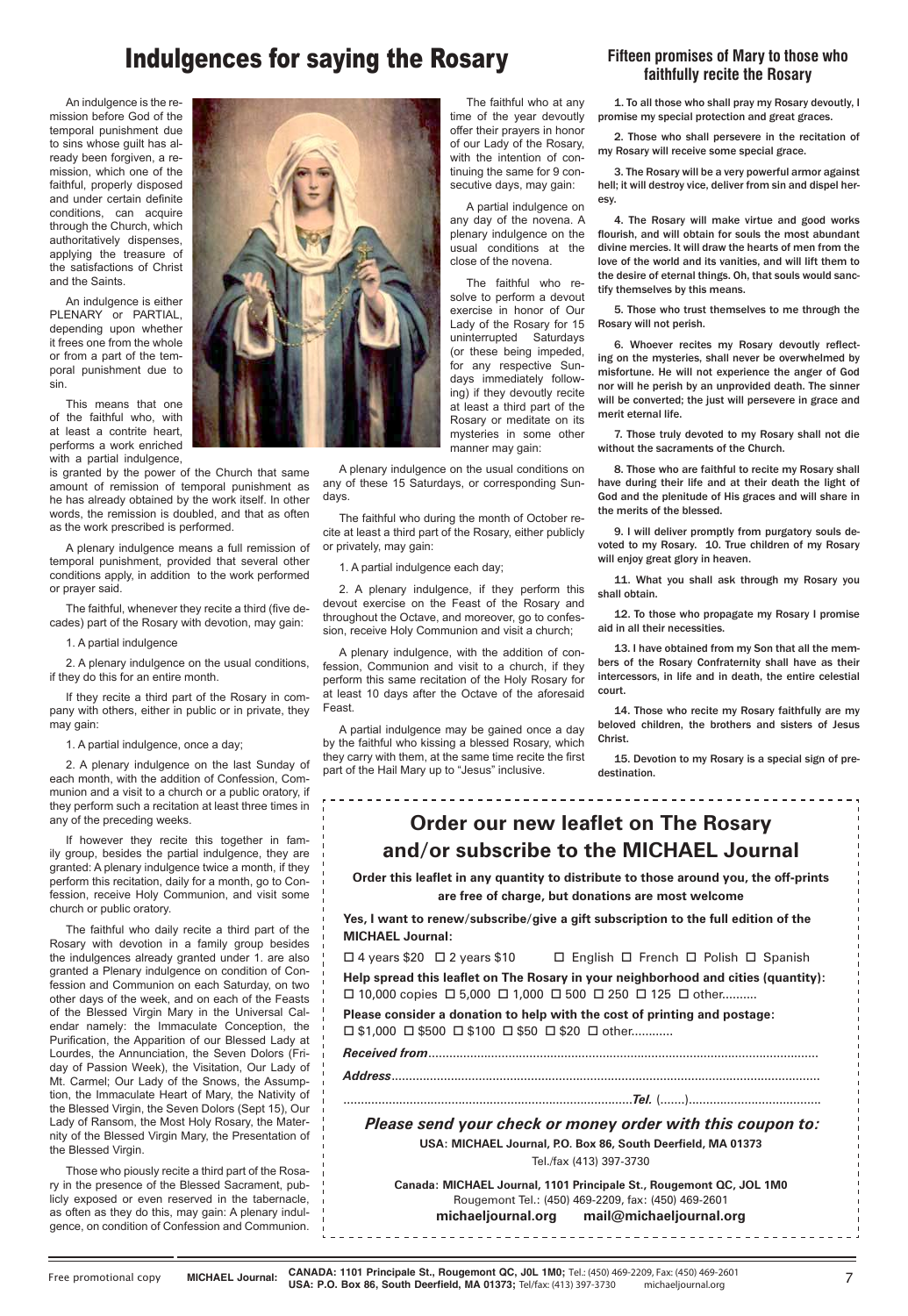## **Indulgences for saying the Rosary Fifteen promises of Mary to those who**

An indulgence is the remission before God of the temporal punishment due to sins whose guilt has already been forgiven, a remission, which one of the faithful, properly disposed and under certain definite conditions, can acquire through the Church, which authoritatively dispenses, applying the treasure of the satisfactions of Christ and the Saints.

An indulgence is either PLENARY or PARTIAL, depending upon whether it frees one from the whole or from a part of the temporal punishment due to sin.

This means that one of the faithful who, with at least a contrite heart, performs a work enriched with a partial indulgence,

is granted by the power of the Church that same amount of remission of temporal punishment as he has already obtained by the work itself. In other words, the remission is doubled, and that as often as the work prescribed is performed.

A plenary indulgence means a full remission of temporal punishment, provided that several other conditions apply, in addition to the work performed or prayer said.

The faithful, whenever they recite a third (five decades) part of the Rosary with devotion, may gain:

1. A partial indulgence

2. A plenary indulgence on the usual conditions, if they do this for an entire month.

If they recite a third part of the Rosary in company with others, either in public or in private, they may gain:

1. A partial indulgence, once a day;

2. A plenary indulgence on the last Sunday of each month, with the addition of Confession, Communion and a visit to a church or a public oratory, if they perform such a recitation at least three times in any of the preceding weeks.

If however they recite this together in family group, besides the partial indulgence, they are granted: A plenary indulgence twice a month, if they perform this recitation, daily for a month, go to Confession, receive Holy Communion, and visit some church or public oratory.

> **Help spread this leaflet on The Rosary in your neighborhood and cities (quantity):**  $\Box$  10,000 copies  $\Box$  5,000  $\Box$  1,000  $\Box$  500  $\Box$  250  $\Box$  125  $\Box$  other.........

The faithful who daily recite a third part of the Rosary with devotion in a family group besides the indulgences already granted under 1. are also granted a Plenary indulgence on condition of Confession and Communion on each Saturday, on two other days of the week, and on each of the Feasts of the Blessed Virgin Mary in the Universal Calendar namely: the Immaculate Conception, the Purification, the Apparition of our Blessed Lady at Lourdes, the Annunciation, the Seven Dolors (Friday of Passion Week), the Visitation, Our Lady of Mt. Carmel; Our Lady of the Snows, the Assumption, the Immaculate Heart of Mary, the Nativity of the Blessed Virgin, the Seven Dolors (Sept 15), Our Lady of Ransom, the Most Holy Rosary, the Maternity of the Blessed Virgin Mary, the Presentation of the Blessed Virgin.

| $\Box$ \$1,000 $\Box$ \$500 $\Box$ \$100 $\Box$ \$50 $\Box$ \$20 $\Box$ other |
|-------------------------------------------------------------------------------|
|                                                                               |
|                                                                               |
|                                                                               |
| Please send your check or money order with this coupon to:                    |
| USA: MICHAEL Journal, P.O. Box 86, South Deerfield, MA 01373                  |
| Tel./fax (413) 397-3730                                                       |
| Canada: MICHAEL Journal, 1101 Principale St., Rougemont QC, JOL 1M0           |
| Rougemont Tel.: (450) 469-2209, fax: (450) 469-2601                           |
| michaeljournal.org mail@michaeljournal.org                                    |

**CANADA: 1101 Principale St., Rougemont QC, J0L 1M0;** Tel.: (450) 469-2209, Fax: (450) 469-2601<br> **USA: P.O. Box 86, South Deerfield, MA 01373;** Tel/fax: (413) 397-3730 michaeljournal.org Free promotional copy **MICHAEL Journal: CANADA: 1101 Principale St., Rougemont QC, JUL 1MU;** 1el.: (450) 4<br>**USA: P.O. Box 86, South Deerfield, MA 01373;** Tel/fax: (413) 397-3730

Those who piously recite a third part of the Rosary in the presence of the Blessed Sacrament, publicly exposed or even reserved in the tabernacle, as often as they do this, may gain: A plenary indulgence, on condition of Confession and Communion. The faithful who at any

A partial indulgence on

The faithful who re-



11. What you shall ask through my Rosary you shall obtain.

manner may gain: A plenary indulgence on the usual conditions on any of these 15 Saturdays, or corresponding Sundays.

The faithful who during the month of October recite at least a third part of the Rosary, either publicly or privately, may gain:

1. A partial indulgence each day;

2. A plenary indulgence, if they perform this devout exercise on the Feast of the Rosary and throughout the Octave, and moreover, go to confession, receive Holy Communion and visit a church;

A plenary indulgence, with the addition of confession, Communion and visit to a church, if they perform this same recitation of the Holy Rosary for at least 10 days after the Octave of the aforesaid Feast.

A partial indulgence may be gained once a day by the faithful who kissing a blessed Rosary, which they carry with them, at the same time recite the first part of the Hail Mary up to "Jesus" inclusive.

## **Order our new leaflet on The Rosary and/or subscribe to the MICHAEL Journal**

**Order this leaflet in any quantity to distribute to those around you, the off-prints are free of charge, but donations are most welcome**

**Yes, I want to renew/subscribe/give a gift subscription to the full edition of the MICHAEL Journal:**

 $\Box$  4 years \$20  $\Box$  2 years \$10  $\Box$  English  $\Box$  French  $\Box$  Polish  $\Box$  Spanish

**Please consider a donation to help with the cost of printing and postage:**

## **faithfully recite the Rosary**

1. To all those who shall pray my Rosary devoutly, I promise my special protection and great graces.

2. Those who shall persevere in the recitation of my Rosary will receive some special grace.

3. The Rosary will be a very powerful armor against hell; it will destroy vice, deliver from sin and dispel heresy.

4. The Rosary will make virtue and good works flourish, and will obtain for souls the most abundant divine mercies. It will draw the hearts of men from the love of the world and its vanities, and will lift them to the desire of eternal things. Oh, that souls would sanctify themselves by this means.

5. Those who trust themselves to me through the Rosary will not perish.

6. Whoever recites my Rosary devoutly reflecting on the mysteries, shall never be overwhelmed by misfortune. He will not experience the anger of God nor will he perish by an unprovided death. The sinner will be converted; the just will persevere in grace and merit eternal life.

7. Those truly devoted to my Rosary shall not die without the sacraments of the Church.

8. Those who are faithful to recite my Rosary shall have during their life and at their death the light of God and the plenitude of His graces and will share in the merits of the blessed.

9. I will deliver promptly from purgatory souls devoted to my Rosary. 10. True children of my Rosary will enjoy great glory in heaven.

12. To those who propagate my Rosary I promise aid in all their necessities.

13. I have obtained from my Son that all the members of the Rosary Confraternity shall have as their intercessors, in life and in death, the entire celestial court.

14. Those who recite my Rosary faithfully are my beloved children, the brothers and sisters of Jesus Christ.

15. Devotion to my Rosary is a special sign of predestination.